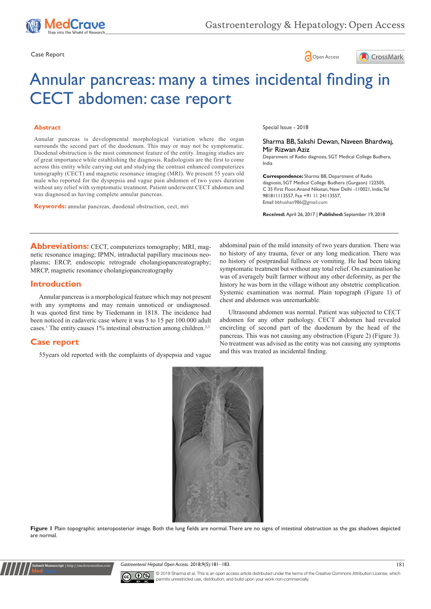





# Annular pancreas: many a times incidental finding in CECT abdomen: case report

#### **Abstract**

Annular pancreas is developmental morphological variation where the organ surrounds the second part of the duodenum. This may or may not be symptomatic. Duodenal obstruction is the most commonest feature of the entity. Imaging studies are of great importance while establishing the diagnosis. Radiologists are the first to come across this entity while carrying out and studying the contrast enhanced computerizes tomography (CECT) and magnetic resonance imaging (MRI). We present 55 years old male who reported for the dyspepsia and vague pain abdomen of two years duration without any relief with symptomatic treatment. Patient underwent CECT abdomen and was diagnosed as having complete annular pancreas.

**Keywords:** annular pancreas, duodenal obstruction, cect, mri

Special Issue - 2018

Sharma BB, Sakshi Dewan, Naveen Bhardwaj, Mir Rizwan Aziz Department of Radio diagnosis, SGT Medical College Budhera,

India

**Correspondence:** Sharma BB, Department of Radio diagnosis, SGT Medical College Budhera (Gurgaon) 122505, C 35 First Floor, Anand Niketan, New Delhi -110021, India, Tel 981811113557, Fax +91 11 24113557, Email bbhushan986@gmail.com

**Received:** April 26, 2017 | **Published:** September 19, 2018

**Abbreviations:** CECT, computerizes tomography; MRI, magnetic resonance imaging; IPMN, intraductal papillary mucinous neoplasms; ERCP, endoscopic retrograde cholangiopancreatography; MRCP, magnetic resonance cholangiopancreatography

## **Introduction**

Annular pancreas is a morphological feature which may not present with any symptoms and may remain unnoticed or undiagnosed. It was quoted first time by Tiedemann in 1818. The incidence had been noticed in cadaveric case where it was 5 to 15 per 100.000 adult cases.<sup>1</sup> The entity causes 1% intestinal obstruction among children.<sup>2,3</sup>

# **Case report**

**Submit Manuscript** | http://medcraveonline.com

55years old reported with the complaints of dyspepsia and vague

abdominal pain of the mild intensity of two years duration. There was no history of any trauma, fever or any long medication. There was no history of postprandial fullness or vomiting. He had been taking symptomatic treatment but without any total relief. On examination he was of averagely built farmer without any other deformity, as per the history he was born in the village without any obstetric complication. Systemic examination was normal. Plain topograph (Figure 1) of chest and abdomen was unremarkable.

Ultrasound abdomen was normal. Patient was subjected to CECT abdomen for any other pathology. CECT abdomen had revealed encircling of second part of the duodenum by the head of the pancreas. This was not causing any obstruction (Figure 2) (Figure 3). No treatment was advised as the entity was not causing any symptoms and this was treated as incidental finding.



Figure 1 Plain topographic anteroposterior image. Both the lung fields are normal. There are no signs of intestinal obstruction as the gas shadows depicted are normal.

Gastroenterol Hepatol Open Access. 2018;9(5):181-183. 181



© 2018 Sharma et al. This is an open access article distributed under the terms of the [Creative Commons Attribution License,](https://creativecommons.org/licenses/by-nc/4.0/) which permits unrestricted use, distribution, and build upon your work non-commercially.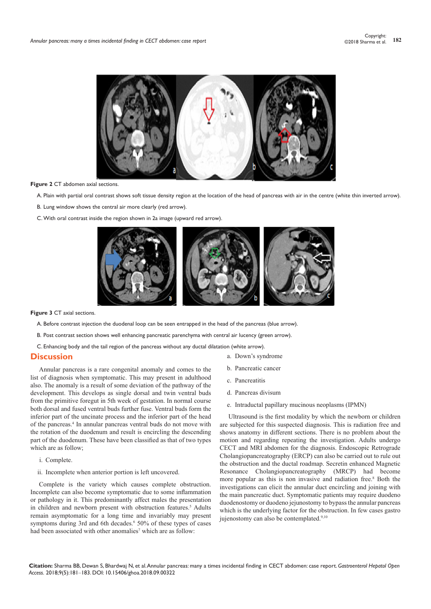

#### **Figure 2** CT abdomen axial sections.

A. Plain with partial oral contrast shows soft tissue density region at the location of the head of pancreas with air in the centre (white thin inverted arrow).

- B. Lung window shows the central air more clearly (red arrow).
- C.With oral contrast inside the region shown in 2a image (upward red arrow).



**Figure 3** CT axial sections.

A. Before contrast injection the duodenal loop can be seen entrapped in the head of the pancreas (blue arrow).

B. Post contrast section shows well enhancing pancreatic parenchyma with central air lucency (green arrow).

C. Enhancing body and the tail region of the pancreas without any ductal dilatation (white arrow).

#### **Discussion**

Annular pancreas is a rare congenital anomaly and comes to the list of diagnosis when symptomatic. This may present in adulthood also. The anomaly is a result of some deviation of the pathway of the development. This develops as single dorsal and twin ventral buds from the primitive foregut in 5th week of gestation. In normal course both dorsal and fused ventral buds further fuse. Ventral buds form the inferior part of the uncinate process and the inferior part of the head of the pancreas.4 In annular pancreas ventral buds do not move with the rotation of the duodenum and result is encircling the descending part of the duodenum. These have been classified as that of two types which are as follow;

- i. Complete.
- ii. Incomplete when anterior portion is left uncovered.

Complete is the variety which causes complete obstruction. Incomplete can also become symptomatic due to some inflammation or pathology in it. This predominantly affect males the presentation in children and newborn present with obstruction features.<sup>5</sup> Adults remain asymptomatic for a long time and invariably may present symptoms during 3rd and 6th decades.<sup>6</sup> 50% of these types of cases had been associated with other anomalies<sup>7</sup> which are as follow:

- a. Down's syndrome
- b. Pancreatic cancer
- c. Pancreatitis
- d. Pancreas divisum
- e. Intraductal papillary mucinous neoplasms (IPMN)

Ultrasound is the first modality by which the newborn or children are subjected for this suspected diagnosis. This is radiation free and shows anatomy in different sections. There is no problem about the motion and regarding repeating the investigation. Adults undergo CECT and MRI abdomen for the diagnosis. Endoscopic Retrograde Cholangiopancreatography (ERCP) can also be carried out to rule out the obstruction and the ductal roadmap. Secretin enhanced Magnetic Resonance Cholangiopancreatography (MRCP) had become more popular as this is non invasive and radiation free.8 Both the investigations can elicit the annular duct encircling and joining with the main pancreatic duct. Symptomatic patients may require duodeno duodenostomy or duodeno jejunostomy to bypass the annular pancreas which is the underlying factor for the obstruction. In few cases gastro jujenostomy can also be contemplated.<sup>9,10</sup>